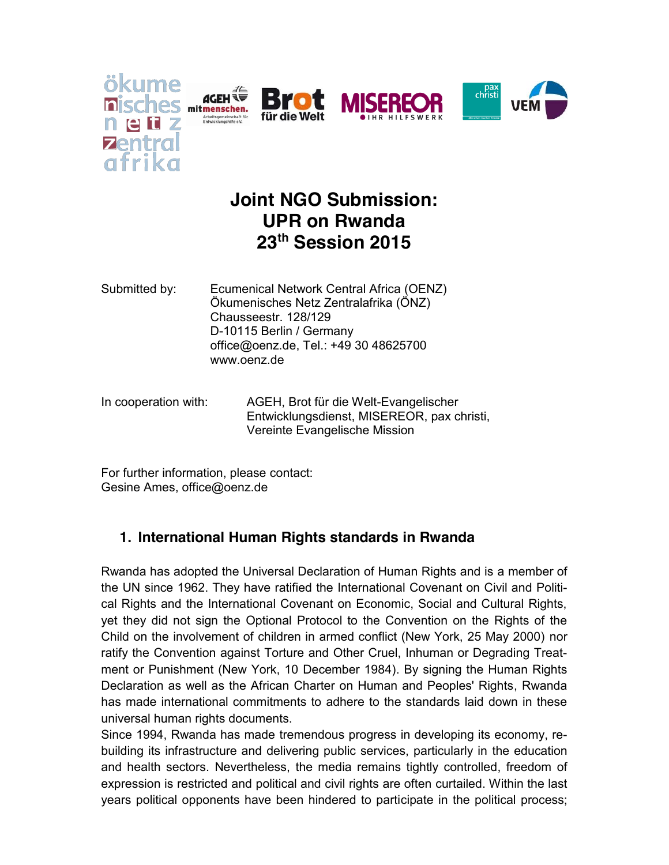







# **Joint NGO Submission: UPR on Rwanda 23th Session 2015**

- Submitted by: Ecumenical Network Central Africa (OENZ) Ökumenisches Netz Zentralafrika (ÖNZ) Chausseestr. 128/129 D-10115 Berlin / Germany office@oenz.de, Tel.: +49 30 48625700 www.oenz.de
- In cooperation with: AGEH, Brot für die Welt-Evangelischer Entwicklungsdienst, MISEREOR, pax christi, Vereinte Evangelische Mission

For further information, please contact: Gesine Ames, office@oenz.de

# **1. International Human Rights standards in Rwanda**

Rwanda has adopted the Universal Declaration of Human Rights and is a member of the UN since 1962. They have ratified the International Covenant on Civil and Political Rights and the International Covenant on Economic, Social and Cultural Rights, yet they did not sign the Optional Protocol to the Convention on the Rights of the Child on the involvement of children in armed conflict (New York, 25 May 2000) nor ratify the Convention against Torture and Other Cruel, Inhuman or Degrading Treatment or Punishment (New York, 10 December 1984). By signing the Human Rights Declaration as well as the African Charter on Human and Peoples' Rights, Rwanda has made international commitments to adhere to the standards laid down in these universal human rights documents.

Since 1994, Rwanda has made tremendous progress in developing its economy, rebuilding its infrastructure and delivering public services, particularly in the education and health sectors. Nevertheless, the media remains tightly controlled, freedom of expression is restricted and political and civil rights are often curtailed. Within the last years political opponents have been hindered to participate in the political process;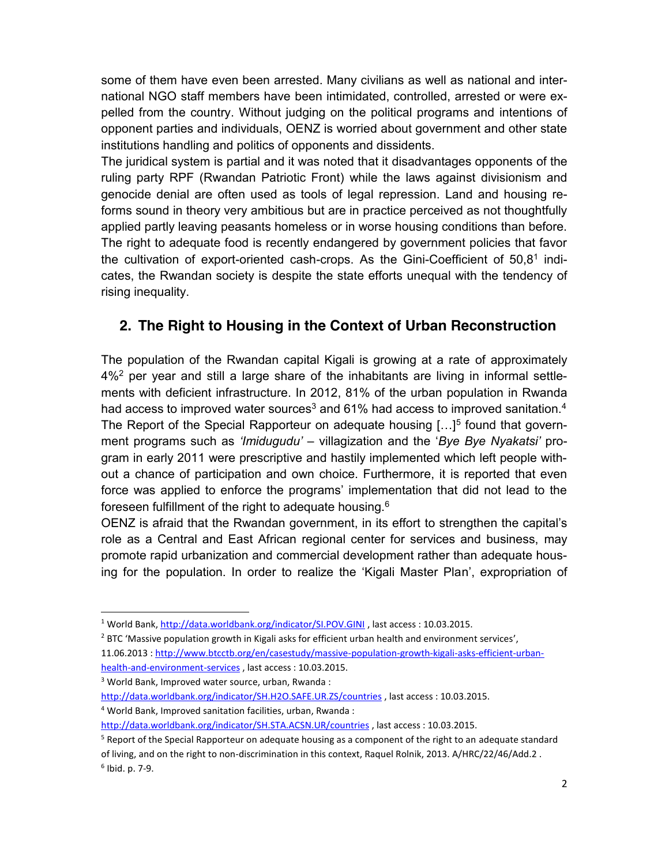some of them have even been arrested. Many civilians as well as national and international NGO staff members have been intimidated, controlled, arrested or were expelled from the country. Without judging on the political programs and intentions of opponent parties and individuals, OENZ is worried about government and other state institutions handling and politics of opponents and dissidents.

The juridical system is partial and it was noted that it disadvantages opponents of the ruling party RPF (Rwandan Patriotic Front) while the laws against divisionism and genocide denial are often used as tools of legal repression. Land and housing reforms sound in theory very ambitious but are in practice perceived as not thoughtfully applied partly leaving peasants homeless or in worse housing conditions than before. The right to adequate food is recently endangered by government policies that favor the cultivation of export-oriented cash-crops. As the Gini-Coefficient of 50,81 indicates, the Rwandan society is despite the state efforts unequal with the tendency of rising inequality.

### **2. The Right to Housing in the Context of Urban Reconstruction**

The population of the Rwandan capital Kigali is growing at a rate of approximately 4%2 per year and still a large share of the inhabitants are living in informal settlements with deficient infrastructure. In 2012, 81% of the urban population in Rwanda had access to improved water sources<sup>3</sup> and 61% had access to improved sanitation.<sup>4</sup> The Report of the Special Rapporteur on adequate housing  $[...]^5$  found that government programs such as *'Imidugudu'* – villagization and the '*Bye Bye Nyakatsi'* program in early 2011 were prescriptive and hastily implemented which left people without a chance of participation and own choice. Furthermore, it is reported that even force was applied to enforce the programs' implementation that did not lead to the foreseen fulfillment of the right to adequate housing.6

OENZ is afraid that the Rwandan government, in its effort to strengthen the capital's role as a Central and East African regional center for services and business, may promote rapid urbanization and commercial development rather than adequate housing for the population. In order to realize the 'Kigali Master Plan', expropriation of

 <sup>1</sup> World Bank, http://data.worldbank.org/indicator/SI.POV.GINI , last access : 10.03.2015.

<sup>&</sup>lt;sup>2</sup> BTC 'Massive population growth in Kigali asks for efficient urban health and environment services', 11.06.2013 : http://www.btcctb.org/en/casestudy/massive-population-growth-kigali-asks-efficient-urban-

health-and-environment-services , last access : 10.03.2015.

<sup>3</sup> World Bank, Improved water source, urban, Rwanda :

http://data.worldbank.org/indicator/SH.H2O.SAFE.UR.ZS/countries , last access : 10.03.2015.

<sup>4</sup> World Bank, Improved sanitation facilities, urban, Rwanda :

http://data.worldbank.org/indicator/SH.STA.ACSN.UR/countries , last access : 10.03.2015.

<sup>&</sup>lt;sup>5</sup> Report of the Special Rapporteur on adequate housing as a component of the right to an adequate standard of living, and on the right to non-discrimination in this context, Raquel Rolnik, 2013. A/HRC/22/46/Add.2 . <sup>6</sup> Ibid. p. 7-9.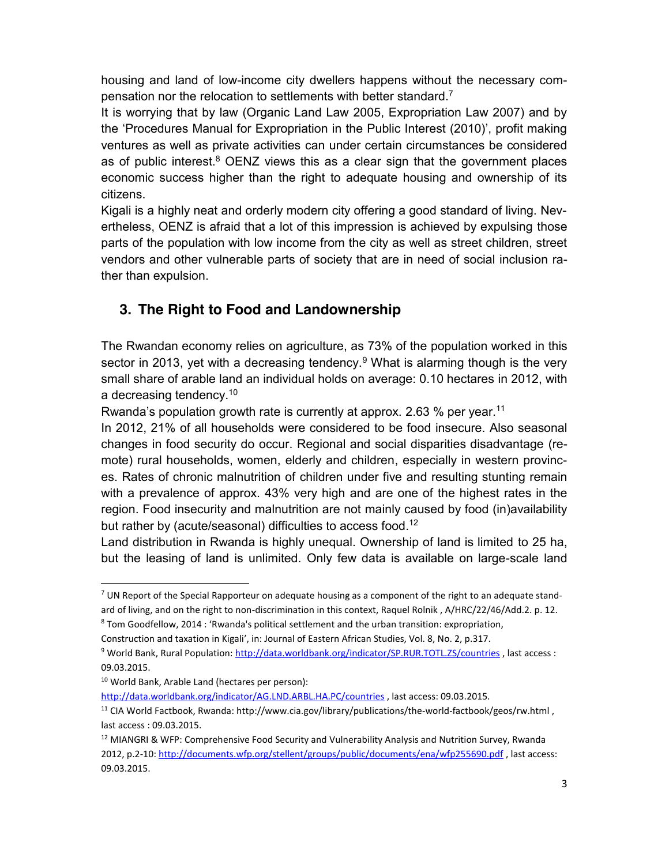housing and land of low-income city dwellers happens without the necessary compensation nor the relocation to settlements with better standard.<sup>7</sup>

It is worrying that by law (Organic Land Law 2005, Expropriation Law 2007) and by the 'Procedures Manual for Expropriation in the Public Interest (2010)', profit making ventures as well as private activities can under certain circumstances be considered as of public interest.<sup>8</sup> OENZ views this as a clear sign that the government places economic success higher than the right to adequate housing and ownership of its citizens.

Kigali is a highly neat and orderly modern city offering a good standard of living. Nevertheless, OENZ is afraid that a lot of this impression is achieved by expulsing those parts of the population with low income from the city as well as street children, street vendors and other vulnerable parts of society that are in need of social inclusion rather than expulsion.

## **3. The Right to Food and Landownership**

The Rwandan economy relies on agriculture, as 73% of the population worked in this sector in 2013, yet with a decreasing tendency.<sup>9</sup> What is alarming though is the very small share of arable land an individual holds on average: 0.10 hectares in 2012, with a decreasing tendency.<sup>10</sup>

Rwanda's population growth rate is currently at approx. 2.63 % per year.<sup>11</sup>

In 2012, 21% of all households were considered to be food insecure. Also seasonal changes in food security do occur. Regional and social disparities disadvantage (remote) rural households, women, elderly and children, especially in western provinces. Rates of chronic malnutrition of children under five and resulting stunting remain with a prevalence of approx. 43% very high and are one of the highest rates in the region. Food insecurity and malnutrition are not mainly caused by food (in)availability but rather by (acute/seasonal) difficulties to access food.<sup>12</sup>

Land distribution in Rwanda is highly unequal. Ownership of land is limited to 25 ha, but the leasing of land is unlimited. Only few data is available on large-scale land

http://data.worldbank.org/indicator/AG.LND.ARBL.HA.PC/countries , last access: 09.03.2015.

 $7$  UN Report of the Special Rapporteur on adequate housing as a component of the right to an adequate standard of living, and on the right to non-discrimination in this context, Raquel Rolnik, A/HRC/22/46/Add.2. p. 12.

<sup>8</sup> Tom Goodfellow, 2014 : 'Rwanda's political settlement and the urban transition: expropriation,

Construction and taxation in Kigali', in: Journal of Eastern African Studies, Vol. 8, No. 2, p.317.

<sup>9</sup> World Bank, Rural Population: http://data.worldbank.org/indicator/SP.RUR.TOTL.ZS/countries , last access : 09.03.2015.

<sup>10</sup> World Bank, Arable Land (hectares per person):

<sup>11</sup> CIA World Factbook, Rwanda: http://www.cia.gov/library/publications/the-world-factbook/geos/rw.html , last access : 09.03.2015.

<sup>&</sup>lt;sup>12</sup> MIANGRI & WFP: Comprehensive Food Security and Vulnerability Analysis and Nutrition Survey, Rwanda 2012, p.2-10: http://documents.wfp.org/stellent/groups/public/documents/ena/wfp255690.pdf , last access: 09.03.2015.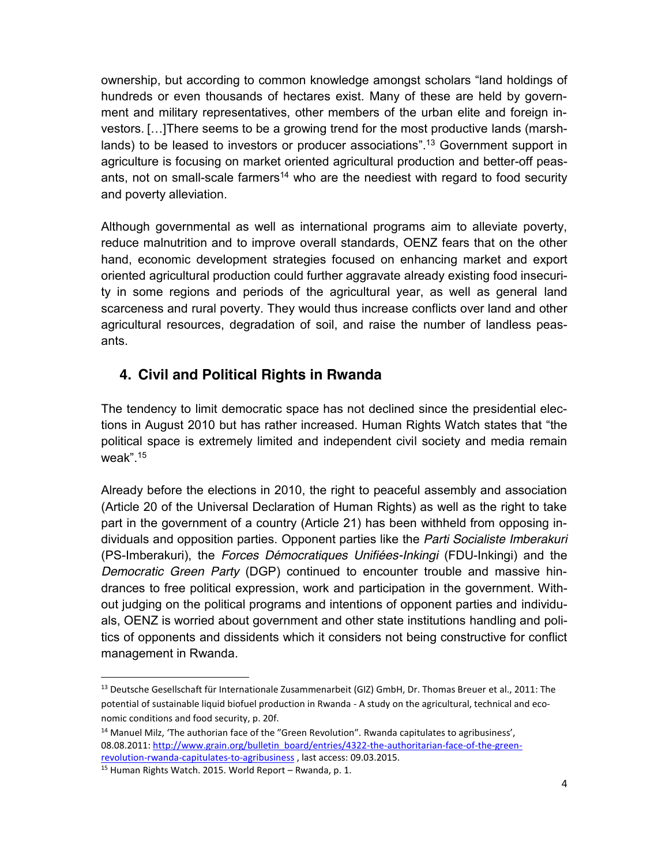ownership, but according to common knowledge amongst scholars "land holdings of hundreds or even thousands of hectares exist. Many of these are held by government and military representatives, other members of the urban elite and foreign investors. […]There seems to be a growing trend for the most productive lands (marshlands) to be leased to investors or producer associations".<sup>13</sup> Government support in agriculture is focusing on market oriented agricultural production and better-off peasants, not on small-scale farmers<sup>14</sup> who are the neediest with regard to food security and poverty alleviation.

Although governmental as well as international programs aim to alleviate poverty, reduce malnutrition and to improve overall standards, OENZ fears that on the other hand, economic development strategies focused on enhancing market and export oriented agricultural production could further aggravate already existing food insecurity in some regions and periods of the agricultural year, as well as general land scarceness and rural poverty. They would thus increase conflicts over land and other agricultural resources, degradation of soil, and raise the number of landless peasants.

## **4. Civil and Political Rights in Rwanda**

The tendency to limit democratic space has not declined since the presidential elections in August 2010 but has rather increased. Human Rights Watch states that "the political space is extremely limited and independent civil society and media remain weak". 15

Already before the elections in 2010, the right to peaceful assembly and association (Article 20 of the Universal Declaration of Human Rights) as well as the right to take part in the government of a country (Article 21) has been withheld from opposing individuals and opposition parties. Opponent parties like the *Parti Socialiste Imberakuri* (PS-Imberakuri), the *Forces Démocratiques Unifiées-Inkingi* (FDU-Inkingi) and the *Democratic Green Party* (DGP) continued to encounter trouble and massive hindrances to free political expression, work and participation in the government. Without judging on the political programs and intentions of opponent parties and individuals, OENZ is worried about government and other state institutions handling and politics of opponents and dissidents which it considers not being constructive for conflict management in Rwanda.

 <sup>13</sup> Deutsche Gesellschaft für Internationale Zusammenarbeit (GIZ) GmbH, Dr. Thomas Breuer et al., 2011: The potential of sustainable liquid biofuel production in Rwanda - A study on the agricultural, technical and economic conditions and food security, p. 20f.

<sup>&</sup>lt;sup>14</sup> Manuel Milz, 'The authorian face of the "Green Revolution". Rwanda capitulates to agribusiness', 08.08.2011: http://www.grain.org/bulletin\_board/entries/4322-the-authoritarian-face-of-the-greenrevolution-rwanda-capitulates-to-agribusiness , last access: 09.03.2015. 15 Human Rights Watch. 2015. World Report – Rwanda, p. 1.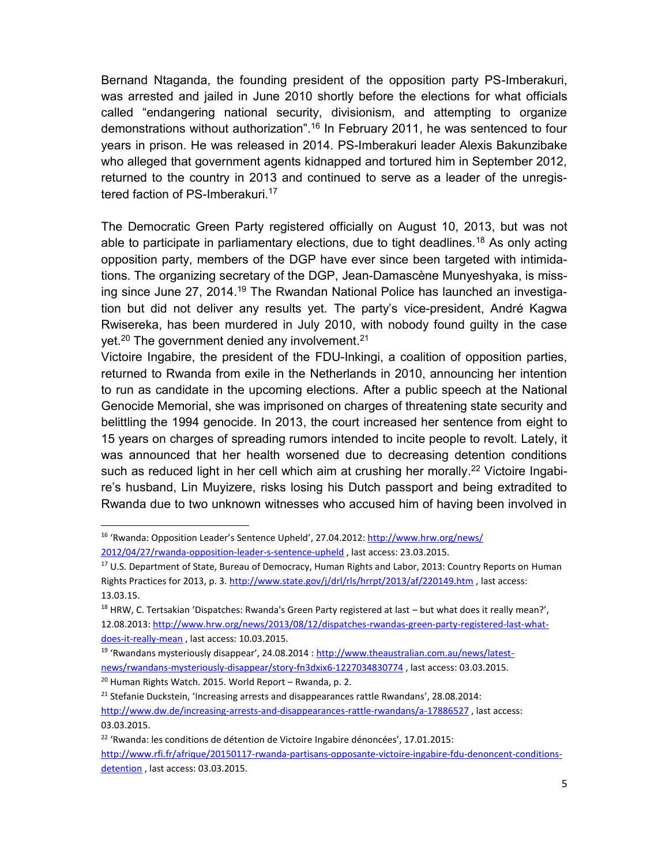Bernand Ntaganda, the founding president of the opposition party PS-Imberakuri, was arrested and jailed in June 2010 shortly before the elections for what officials called "endangering national security, divisionism, and attempting to organize demonstrations without authorization". <sup>16</sup> In February 2011, he was sentenced to four years in prison. He was released in 2014. PS-Imberakuri leader Alexis Bakunzibake who alleged that government agents kidnapped and tortured him in September 2012, returned to the country in 2013 and continued to serve as a leader of the unregistered faction of PS-Imberakuri.<sup>17</sup>

The Democratic Green Party registered officially on August 10, 2013, but was not able to participate in parliamentary elections, due to tight deadlines.<sup>18</sup> As only acting opposition party, members of the DGP have ever since been targeted with intimidations. The organizing secretary of the DGP, Jean-Damascène Munyeshyaka, is missing since June 27, 2014.<sup>19</sup> The Rwandan National Police has launched an investigation but did not deliver any results yet. The party's vice-president, André Kagwa Rwisereka, has been murdered in July 2010, with nobody found guilty in the case yet.<sup>20</sup> The government denied any involvement.<sup>21</sup>

Victoire Ingabire, the president of the FDU-Inkingi, a coalition of opposition parties, returned to Rwanda from exile in the Netherlands in 2010, announcing her intention to run as candidate in the upcoming elections. After a public speech at the National Genocide Memorial, she was imprisoned on charges of threatening state security and belittling the 1994 genocide. In 2013, the court increased her sentence from eight to 15 years on charges of spreading rumors intended to incite people to revolt. Lately, it was announced that her health worsened due to decreasing detention conditions such as reduced light in her cell which aim at crushing her morally.<sup>22</sup> Victoire Ingabire's husband, Lin Muyizere, risks losing his Dutch passport and being extradited to Rwanda due to two unknown witnesses who accused him of having been involved in

<sup>20</sup> Human Rights Watch. 2015. World Report – Rwanda, p. 2.

 <sup>16</sup> 'Rwanda: Opposition Leader's Sentence Upheld', 27.04.2012: http://www.hrw.org/news/ 2012/04/27/rwanda-opposition-leader-s-sentence-upheld , last access: 23.03.2015.

<sup>&</sup>lt;sup>17</sup> U.S. Department of State, Bureau of Democracy, Human Rights and Labor, 2013: Country Reports on Human Rights Practices for 2013, p. 3. http://www.state.gov/j/drl/rls/hrrpt/2013/af/220149.htm , last access: 13.03.15.

 $18$  HRW, C. Tertsakian 'Dispatches: Rwanda's Green Party registered at last  $-$  but what does it really mean?', 12.08.2013: http://www.hrw.org/news/2013/08/12/dispatches-rwandas-green-party-registered-last-whatdoes-it-really-mean , last access: 10.03.2015.

<sup>&</sup>lt;sup>19</sup> 'Rwandans mysteriously disappear', 24.08.2014 : http://www.theaustralian.com.au/news/latestnews/rwandans-mysteriously-disappear/story-fn3dxix6-1227034830774 , last access: 03.03.2015.

<sup>&</sup>lt;sup>21</sup> Stefanie Duckstein, 'Increasing arrests and disappearances rattle Rwandans', 28.08.2014: http://www.dw.de/increasing-arrests-and-disappearances-rattle-rwandans/a-17886527 , last access: 03.03.2015.

<sup>&</sup>lt;sup>22</sup> 'Rwanda: les conditions de détention de Victoire Ingabire dénoncées', 17.01.2015:

http://www.rfi.fr/afrique/20150117-rwanda-partisans-opposante-victoire-ingabire-fdu-denoncent-conditionsdetention , last access: 03.03.2015.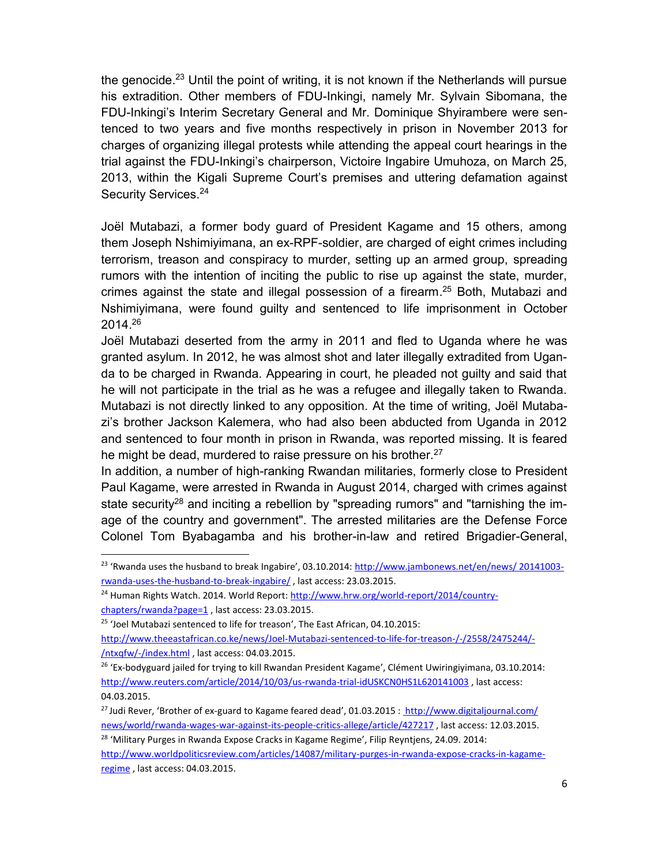the genocide.<sup>23</sup> Until the point of writing, it is not known if the Netherlands will pursue his extradition. Other members of FDU-Inkingi, namely Mr. Sylvain Sibomana, the FDU-Inkingi's Interim Secretary General and Mr. Dominique Shyirambere were sentenced to two years and five months respectively in prison in November 2013 for charges of organizing illegal protests while attending the appeal court hearings in the trial against the FDU-Inkingi's chairperson, Victoire Ingabire Umuhoza, on March 25, 2013, within the Kigali Supreme Court's premises and uttering defamation against Security Services. 24

Joël Mutabazi, a former body guard of President Kagame and 15 others, among them Joseph Nshimiyimana, an ex-RPF-soldier, are charged of eight crimes including terrorism, treason and conspiracy to murder, setting up an armed group, spreading rumors with the intention of inciting the public to rise up against the state, murder, crimes against the state and illegal possession of a firearm. <sup>25</sup> Both, Mutabazi and Nshimiyimana, were found guilty and sentenced to life imprisonment in October 2014. 26

Joël Mutabazi deserted from the army in 2011 and fled to Uganda where he was granted asylum. In 2012, he was almost shot and later illegally extradited from Uganda to be charged in Rwanda. Appearing in court, he pleaded not guilty and said that he will not participate in the trial as he was a refugee and illegally taken to Rwanda. Mutabazi is not directly linked to any opposition. At the time of writing, Joël Mutabazi's brother Jackson Kalemera, who had also been abducted from Uganda in 2012 and sentenced to four month in prison in Rwanda, was reported missing. It is feared he might be dead, murdered to raise pressure on his brother.<sup>27</sup>

In addition, a number of high-ranking Rwandan militaries, formerly close to President Paul Kagame, were arrested in Rwanda in August 2014, charged with crimes against state security<sup>28</sup> and inciting a rebellion by "spreading rumors" and "tarnishing the image of the country and government". The arrested militaries are the Defense Force Colonel Tom Byabagamba and his brother-in-law and retired Brigadier-General,

<sup>&</sup>lt;sup>23</sup> 'Rwanda uses the husband to break Ingabire', 03.10.2014: http://www.jambonews.net/en/news/ 20141003rwanda-uses-the-husband-to-break-ingabire/ , last access: 23.03.2015.

<sup>&</sup>lt;sup>24</sup> Human Rights Watch. 2014. World Report: http://www.hrw.org/world-report/2014/countrychapters/rwanda?page=1 , last access: 23.03.2015.

<sup>&</sup>lt;sup>25</sup> 'Joel Mutabazi sentenced to life for treason', The East African, 04.10.2015:

http://www.theeastafrican.co.ke/news/Joel-Mutabazi-sentenced-to-life-for-treason-/-/2558/2475244/- /ntxqfw/-/index.html , last access: 04.03.2015.

<sup>&</sup>lt;sup>26</sup> 'Ex-bodyguard jailed for trying to kill Rwandan President Kagame', Clément Uwiringiyimana, 03.10.2014: http://www.reuters.com/article/2014/10/03/us-rwanda-trial-idUSKCN0HS1L620141003 , last access: 04.03.2015.

<sup>&</sup>lt;sup>27</sup> Judi Rever, 'Brother of ex-guard to Kagame feared dead', 01.03.2015 : http://www.digitaljournal.com/ news/world/rwanda-wages-war-against-its-people-critics-allege/article/427217 , last access: 12.03.2015.

<sup>&</sup>lt;sup>28</sup> 'Military Purges in Rwanda Expose Cracks in Kagame Regime', Filip Reyntjens, 24.09. 2014:

http://www.worldpoliticsreview.com/articles/14087/military-purges-in-rwanda-expose-cracks-in-kagameregime , last access: 04.03.2015.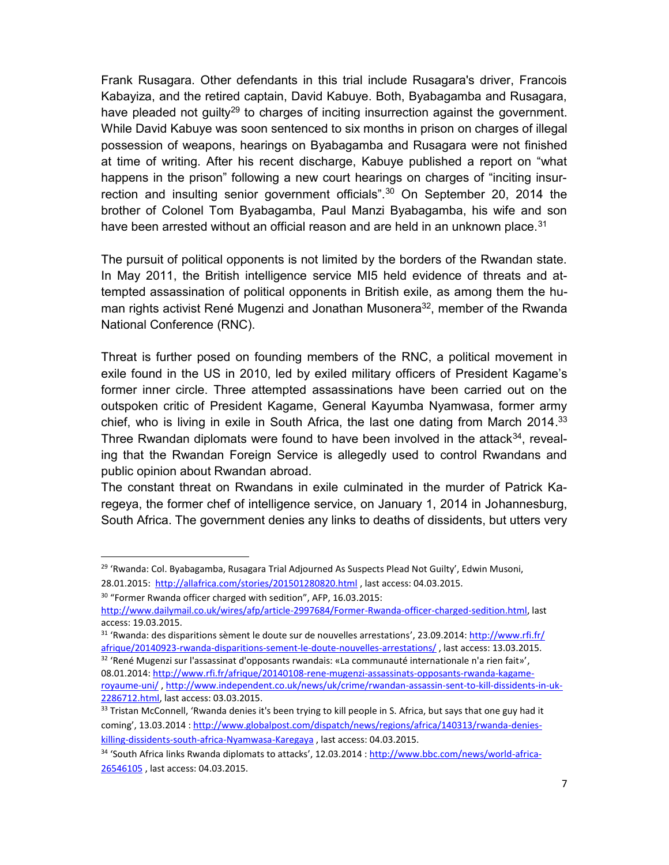Frank Rusagara. Other defendants in this trial include Rusagara's driver, Francois Kabayiza, and the retired captain, David Kabuye. Both, Byabagamba and Rusagara, have pleaded not guilty<sup>29</sup> to charges of inciting insurrection against the government. While David Kabuye was soon sentenced to six months in prison on charges of illegal possession of weapons, hearings on Byabagamba and Rusagara were not finished at time of writing. After his recent discharge, Kabuye published a report on "what happens in the prison" following a new court hearings on charges of "inciting insurrection and insulting senior government officials".<sup>30</sup> On September 20, 2014 the brother of Colonel Tom Byabagamba, Paul Manzi Byabagamba, his wife and son have been arrested without an official reason and are held in an unknown place. $31$ 

The pursuit of political opponents is not limited by the borders of the Rwandan state. In May 2011, the British intelligence service MI5 held evidence of threats and attempted assassination of political opponents in British exile, as among them the human rights activist René Mugenzi and Jonathan Musonera<sup>32</sup>, member of the Rwanda National Conference (RNC).

Threat is further posed on founding members of the RNC, a political movement in exile found in the US in 2010, led by exiled military officers of President Kagame's former inner circle. Three attempted assassinations have been carried out on the outspoken critic of President Kagame, General Kayumba Nyamwasa, former army chief, who is living in exile in South Africa, the last one dating from March 2014.<sup>33</sup> Three Rwandan diplomats were found to have been involved in the attack $34$ , revealing that the Rwandan Foreign Service is allegedly used to control Rwandans and public opinion about Rwandan abroad.

The constant threat on Rwandans in exile culminated in the murder of Patrick Karegeya, the former chef of intelligence service, on January 1, 2014 in Johannesburg, South Africa. The government denies any links to deaths of dissidents, but utters very

<sup>&</sup>lt;sup>29</sup> 'Rwanda: Col. Byabagamba, Rusagara Trial Adjourned As Suspects Plead Not Guilty', Edwin Musoni, 28.01.2015: http://allafrica.com/stories/201501280820.html , last access: 04.03.2015.

<sup>30</sup> "Former Rwanda officer charged with sedition", AFP, 16.03.2015:

http://www.dailymail.co.uk/wires/afp/article-2997684/Former-Rwanda-officer-charged-sedition.html, last access: 19.03.2015.

<sup>31</sup> 'Rwanda: des disparitions sèment le doute sur de nouvelles arrestations', 23.09.2014: http://www.rfi.fr/ afrique/20140923-rwanda-disparitions-sement-le-doute-nouvelles-arrestations/ , last access: 13.03.2015.

<sup>32</sup> 'René Mugenzi sur l'assassinat d'opposants rwandais: «La communauté internationale n'a rien fait»', 08.01.2014: http://www.rfi.fr/afrique/20140108-rene-mugenzi-assassinats-opposants-rwanda-kagame-

royaume-uni/ , http://www.independent.co.uk/news/uk/crime/rwandan-assassin-sent-to-kill-dissidents-in-uk-2286712.html, last access: 03.03.2015.<br><sup>33</sup> Tristan McConnell, 'Rwanda denies it's been trying to kill people in S. Africa, but says that one guy had it

coming', 13.03.2014 : http://www.globalpost.com/dispatch/news/regions/africa/140313/rwanda-denieskilling-dissidents-south-africa-Nyamwasa-Karegaya , last access: 04.03.2015.

<sup>34</sup> 'South Africa links Rwanda diplomats to attacks', 12.03.2014 : http://www.bbc.com/news/world-africa-26546105 , last access: 04.03.2015.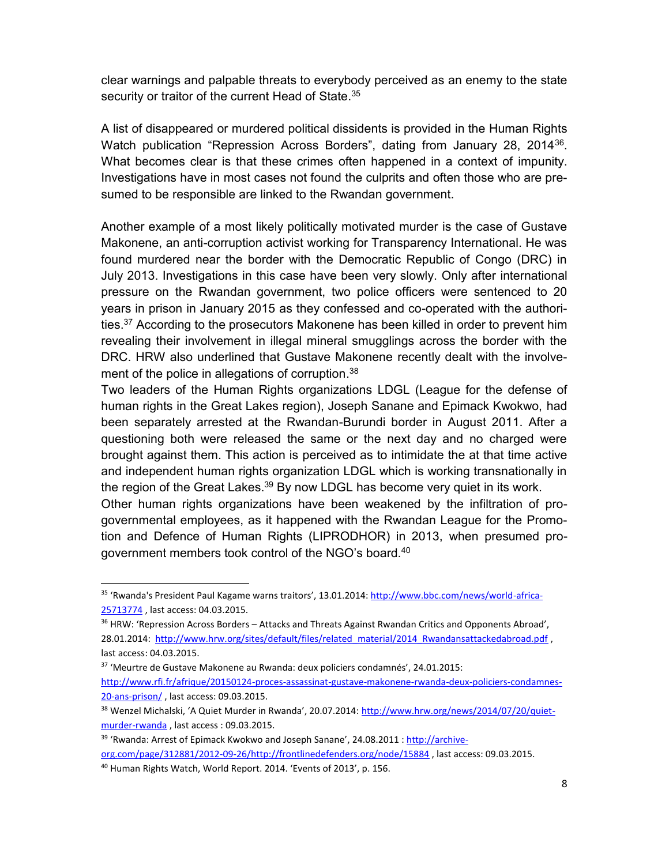clear warnings and palpable threats to everybody perceived as an enemy to the state security or traitor of the current Head of State.<sup>35</sup>

A list of disappeared or murdered political dissidents is provided in the Human Rights Watch publication "Repression Across Borders", dating from January 28, 2014<sup>36</sup>. What becomes clear is that these crimes often happened in a context of impunity. Investigations have in most cases not found the culprits and often those who are presumed to be responsible are linked to the Rwandan government.

Another example of a most likely politically motivated murder is the case of Gustave Makonene, an anti-corruption activist working for Transparency International. He was found murdered near the border with the Democratic Republic of Congo (DRC) in July 2013. Investigations in this case have been very slowly. Only after international pressure on the Rwandan government, two police officers were sentenced to 20 years in prison in January 2015 as they confessed and co-operated with the authorities.<sup>37</sup> According to the prosecutors Makonene has been killed in order to prevent him revealing their involvement in illegal mineral smugglings across the border with the DRC. HRW also underlined that Gustave Makonene recently dealt with the involvement of the police in allegations of corruption.<sup>38</sup>

Two leaders of the Human Rights organizations LDGL (League for the defense of human rights in the Great Lakes region), Joseph Sanane and Epimack Kwokwo, had been separately arrested at the Rwandan-Burundi border in August 2011. After a questioning both were released the same or the next day and no charged were brought against them. This action is perceived as to intimidate the at that time active and independent human rights organization LDGL which is working transnationally in the region of the Great Lakes.<sup>39</sup> By now LDGL has become very quiet in its work.

Other human rights organizations have been weakened by the infiltration of progovernmental employees, as it happened with the Rwandan League for the Promotion and Defence of Human Rights (LIPRODHOR) in 2013, when presumed progovernment members took control of the NGO's board.<sup>40</sup>

<sup>&</sup>lt;sup>35</sup> 'Rwanda's President Paul Kagame warns traitors', 13.01.2014: http://www.bbc.com/news/world-africa-25713774 , last access: 04.03.2015.

<sup>&</sup>lt;sup>36</sup> HRW: 'Repression Across Borders - Attacks and Threats Against Rwandan Critics and Opponents Abroad', 28.01.2014: http://www.hrw.org/sites/default/files/related\_material/2014\_Rwandansattackedabroad.pdf , last access: 04.03.2015.

<sup>37</sup> 'Meurtre de Gustave Makonene au Rwanda: deux policiers condamnés', 24.01.2015:

http://www.rfi.fr/afrique/20150124-proces-assassinat-gustave-makonene-rwanda-deux-policiers-condamnes-20-ans-prison/ , last access: 09.03.2015.

<sup>38</sup> Wenzel Michalski, 'A Quiet Murder in Rwanda', 20.07.2014: http://www.hrw.org/news/2014/07/20/quietmurder-rwanda , last access : 09.03.2015.

<sup>&</sup>lt;sup>39</sup> 'Rwanda: Arrest of Epimack Kwokwo and Joseph Sanane', 24.08.2011 : http://archive-

org.com/page/312881/2012-09-26/http://frontlinedefenders.org/node/15884 , last access: 09.03.2015.

<sup>40</sup> Human Rights Watch, World Report. 2014. 'Events of 2013', p. 156.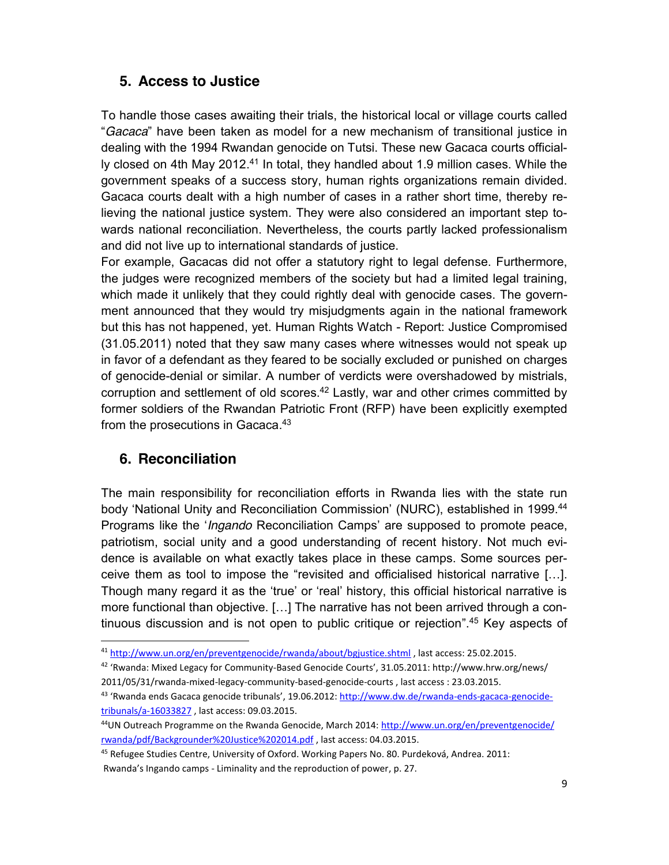#### **5. Access to Justice**

To handle those cases awaiting their trials, the historical local or village courts called "*Gacaca*" have been taken as model for a new mechanism of transitional justice in dealing with the 1994 Rwandan genocide on Tutsi. These new Gacaca courts officially closed on 4th May 2012.<sup>41</sup> In total, they handled about 1.9 million cases. While the government speaks of a success story, human rights organizations remain divided. Gacaca courts dealt with a high number of cases in a rather short time, thereby relieving the national justice system. They were also considered an important step towards national reconciliation. Nevertheless, the courts partly lacked professionalism and did not live up to international standards of justice.

For example, Gacacas did not offer a statutory right to legal defense. Furthermore, the judges were recognized members of the society but had a limited legal training, which made it unlikely that they could rightly deal with genocide cases. The government announced that they would try misjudgments again in the national framework but this has not happened, yet. Human Rights Watch - Report: Justice Compromised (31.05.2011) noted that they saw many cases where witnesses would not speak up in favor of a defendant as they feared to be socially excluded or punished on charges of genocide-denial or similar. A number of verdicts were overshadowed by mistrials, corruption and settlement of old scores.<sup>42</sup> Lastly, war and other crimes committed by former soldiers of the Rwandan Patriotic Front (RFP) have been explicitly exempted from the prosecutions in Gacaca.<sup>43</sup>

#### **6. Reconciliation**

The main responsibility for reconciliation efforts in Rwanda lies with the state run body 'National Unity and Reconciliation Commission' (NURC), established in 1999.44 Programs like the '*Ingando* Reconciliation Camps' are supposed to promote peace, patriotism, social unity and a good understanding of recent history. Not much evidence is available on what exactly takes place in these camps. Some sources perceive them as tool to impose the "revisited and officialised historical narrative […]. Though many regard it as the 'true' or 'real' history, this official historical narrative is more functional than objective. […] The narrative has not been arrived through a continuous discussion and is not open to public critique or rejection".<sup>45</sup> Key aspects of

 <sup>41</sup> http://www.un.org/en/preventgenocide/rwanda/about/bgjustice.shtml , last access: 25.02.2015.

<sup>42</sup> 'Rwanda: Mixed Legacy for Community-Based Genocide Courts', 31.05.2011: http://www.hrw.org/news/ 2011/05/31/rwanda-mixed-legacy-community-based-genocide-courts , last access : 23.03.2015.

<sup>43 &#</sup>x27;Rwanda ends Gacaca genocide tribunals', 19.06.2012: http://www.dw.de/rwanda-ends-gacaca-genocidetribunals/a-16033827 , last access: 09.03.2015.

<sup>&</sup>lt;sup>44</sup>UN Outreach Programme on the Rwanda Genocide, March 2014: http://www.un.org/en/preventgenocide/ rwanda/pdf/Backgrounder%20Justice%202014.pdf , last access: 04.03.2015.

<sup>45</sup> Refugee Studies Centre, University of Oxford. Working Papers No. 80. Purdeková, Andrea. 2011: Rwanda's Ingando camps - Liminality and the reproduction of power, p. 27.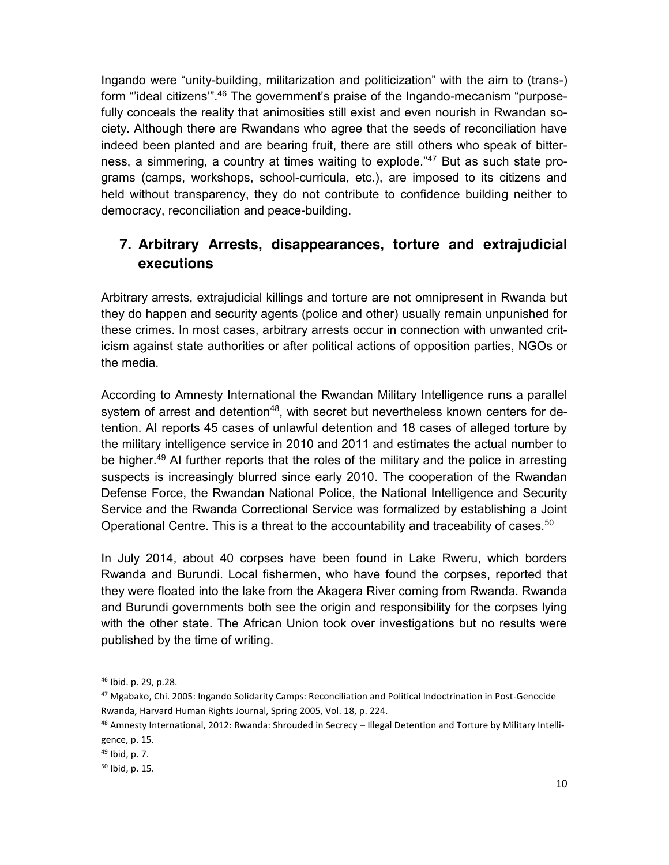Ingando were "unity-building, militarization and politicization" with the aim to (trans-) form "ideal citizens".<sup>46</sup> The government's praise of the Ingando-mecanism "purposefully conceals the reality that animosities still exist and even nourish in Rwandan society. Although there are Rwandans who agree that the seeds of reconciliation have indeed been planted and are bearing fruit, there are still others who speak of bitterness, a simmering, a country at times waiting to explode."<sup>47</sup> But as such state programs (camps, workshops, school-curricula, etc.), are imposed to its citizens and held without transparency, they do not contribute to confidence building neither to democracy, reconciliation and peace-building.

### **7. Arbitrary Arrests, disappearances, torture and extrajudicial executions**

Arbitrary arrests, extrajudicial killings and torture are not omnipresent in Rwanda but they do happen and security agents (police and other) usually remain unpunished for these crimes. In most cases, arbitrary arrests occur in connection with unwanted criticism against state authorities or after political actions of opposition parties, NGOs or the media.

According to Amnesty International the Rwandan Military Intelligence runs a parallel system of arrest and detention<sup>48</sup>, with secret but nevertheless known centers for detention. AI reports 45 cases of unlawful detention and 18 cases of alleged torture by the military intelligence service in 2010 and 2011 and estimates the actual number to be higher.<sup>49</sup> AI further reports that the roles of the military and the police in arresting suspects is increasingly blurred since early 2010. The cooperation of the Rwandan Defense Force, the Rwandan National Police, the National Intelligence and Security Service and the Rwanda Correctional Service was formalized by establishing a Joint Operational Centre. This is a threat to the accountability and traceability of cases.<sup>50</sup>

In July 2014, about 40 corpses have been found in Lake Rweru, which borders Rwanda and Burundi. Local fishermen, who have found the corpses, reported that they were floated into the lake from the Akagera River coming from Rwanda. Rwanda and Burundi governments both see the origin and responsibility for the corpses lying with the other state. The African Union took over investigations but no results were published by the time of writing.

 <sup>46</sup> Ibid. p. 29, p.28.

<sup>47</sup> Mgabako, Chi. 2005: Ingando Solidarity Camps: Reconciliation and Political Indoctrination in Post-Genocide Rwanda, Harvard Human Rights Journal, Spring 2005, Vol. 18, p. 224.

<sup>48</sup> Amnesty International, 2012: Rwanda: Shrouded in Secrecy - Illegal Detention and Torture by Military Intelli-

gence, p. 15.

<sup>49</sup> Ibid, p. 7.

<sup>50</sup> Ibid, p. 15.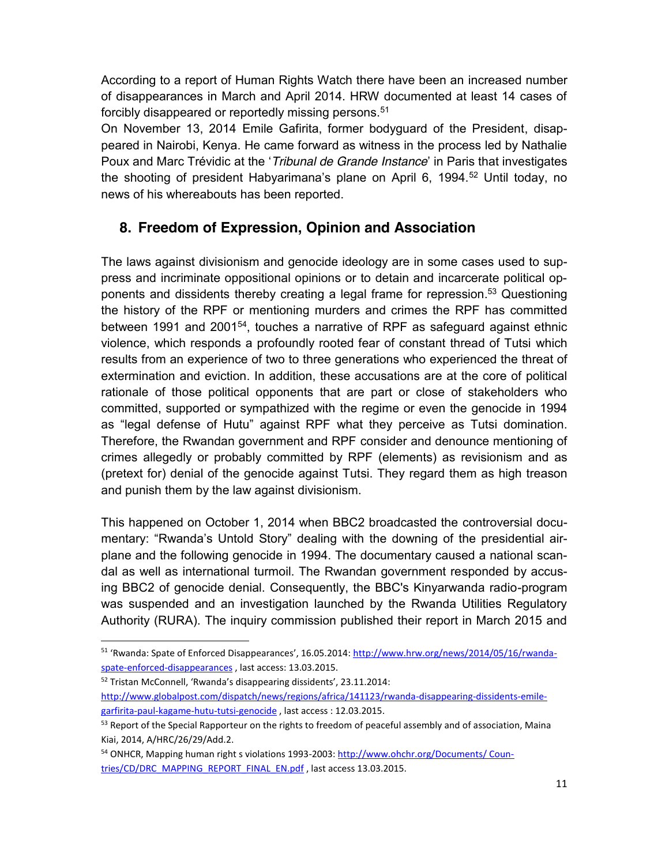According to a report of Human Rights Watch there have been an increased number of disappearances in March and April 2014. HRW documented at least 14 cases of forcibly disappeared or reportedly missing persons.<sup>51</sup>

On November 13, 2014 Emile Gafirita, former bodyguard of the President, disappeared in Nairobi, Kenya. He came forward as witness in the process led by Nathalie Poux and Marc Trévidic at the '*Tribunal de Grande Instance*' in Paris that investigates the shooting of president Habyarimana's plane on April 6, 1994.<sup>52</sup> Until today, no news of his whereabouts has been reported.

### **8. Freedom of Expression, Opinion and Association**

The laws against divisionism and genocide ideology are in some cases used to suppress and incriminate oppositional opinions or to detain and incarcerate political opponents and dissidents thereby creating a legal frame for repression. <sup>53</sup> Questioning the history of the RPF or mentioning murders and crimes the RPF has committed between 1991 and 200154, touches a narrative of RPF as safeguard against ethnic violence, which responds a profoundly rooted fear of constant thread of Tutsi which results from an experience of two to three generations who experienced the threat of extermination and eviction. In addition, these accusations are at the core of political rationale of those political opponents that are part or close of stakeholders who committed, supported or sympathized with the regime or even the genocide in 1994 as "legal defense of Hutu" against RPF what they perceive as Tutsi domination. Therefore, the Rwandan government and RPF consider and denounce mentioning of crimes allegedly or probably committed by RPF (elements) as revisionism and as (pretext for) denial of the genocide against Tutsi. They regard them as high treason and punish them by the law against divisionism.

This happened on October 1, 2014 when BBC2 broadcasted the controversial documentary: "Rwanda's Untold Story" dealing with the downing of the presidential airplane and the following genocide in 1994. The documentary caused a national scandal as well as international turmoil. The Rwandan government responded by accusing BBC2 of genocide denial. Consequently, the BBC's Kinyarwanda radio-program was suspended and an investigation launched by the Rwanda Utilities Regulatory Authority (RURA). The inquiry commission published their report in March 2015 and

<sup>52</sup> Tristan McConnell, 'Rwanda's disappearing dissidents', 23.11.2014:

 <sup>51</sup> 'Rwanda: Spate of Enforced Disappearances', 16.05.2014: http://www.hrw.org/news/2014/05/16/rwandaspate-enforced-disappearances , last access: 13.03.2015.

http://www.globalpost.com/dispatch/news/regions/africa/141123/rwanda-disappearing-dissidents-emilegarfirita-paul-kagame-hutu-tutsi-genocide , last access : 12.03.2015.

<sup>&</sup>lt;sup>53</sup> Report of the Special Rapporteur on the rights to freedom of peaceful assembly and of association, Maina Kiai, 2014, A/HRC/26/29/Add.2.

<sup>&</sup>lt;sup>54</sup> ONHCR, Mapping human right s violations 1993-2003: http://www.ohchr.org/Documents/ Countries/CD/DRC\_MAPPING\_REPORT\_FINAL\_EN.pdf , last access 13.03.2015.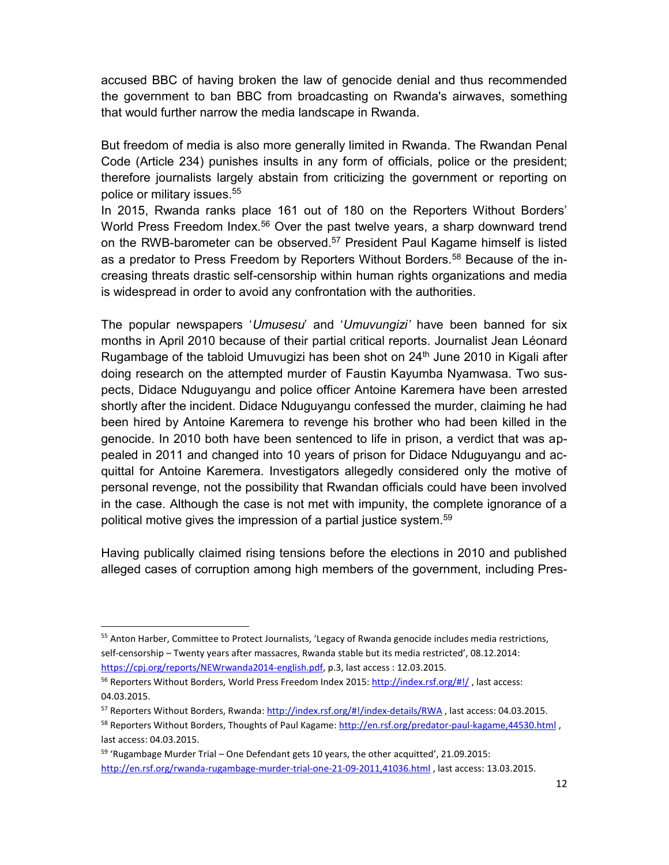accused BBC of having broken the law of genocide denial and thus recommended the government to ban BBC from broadcasting on Rwanda's airwaves, something that would further narrow the media landscape in Rwanda.

But freedom of media is also more generally limited in Rwanda. The Rwandan Penal Code (Article 234) punishes insults in any form of officials, police or the president; therefore journalists largely abstain from criticizing the government or reporting on police or military issues.55

In 2015, Rwanda ranks place 161 out of 180 on the Reporters Without Borders' World Press Freedom Index.<sup>56</sup> Over the past twelve years, a sharp downward trend on the RWB-barometer can be observed.<sup>57</sup> President Paul Kagame himself is listed as a predator to Press Freedom by Reporters Without Borders.58 Because of the increasing threats drastic self-censorship within human rights organizations and media is widespread in order to avoid any confrontation with the authorities.

The popular newspapers '*Umusesu*' and '*Umuvungizi'* have been banned for six months in April 2010 because of their partial critical reports. Journalist Jean Léonard Rugambage of the tabloid Umuvugizi has been shot on  $24<sup>th</sup>$  June 2010 in Kigali after doing research on the attempted murder of Faustin Kayumba Nyamwasa. Two suspects, Didace Nduguyangu and police officer Antoine Karemera have been arrested shortly after the incident. Didace Nduguyangu confessed the murder, claiming he had been hired by Antoine Karemera to revenge his brother who had been killed in the genocide. In 2010 both have been sentenced to life in prison, a verdict that was appealed in 2011 and changed into 10 years of prison for Didace Nduguyangu and acquittal for Antoine Karemera. Investigators allegedly considered only the motive of personal revenge, not the possibility that Rwandan officials could have been involved in the case. Although the case is not met with impunity, the complete ignorance of a political motive gives the impression of a partial justice system.59

Having publically claimed rising tensions before the elections in 2010 and published alleged cases of corruption among high members of the government, including Pres-

 <sup>55</sup> Anton Harber, Committee to Protect Journalists, 'Legacy of Rwanda genocide includes media restrictions, self-censorship – Twenty years after massacres, Rwanda stable but its media restricted', 08.12.2014: https://cpj.org/reports/NEWrwanda2014-english.pdf, p.3, last access : 12.03.2015.

<sup>56</sup> Reporters Without Borders, World Press Freedom Index 2015: http://index.rsf.org/#!/ , last access: 04.03.2015.

<sup>57</sup> Reporters Without Borders, Rwanda: http://index.rsf.org/#!/index-details/RWA , last access: 04.03.2015.

<sup>58</sup> Reporters Without Borders, Thoughts of Paul Kagame: http://en.rsf.org/predator-paul-kagame,44530.html, last access: 04.03.2015.

<sup>&</sup>lt;sup>59</sup> 'Rugambage Murder Trial – One Defendant gets 10 years, the other acquitted', 21.09.2015: http://en.rsf.org/rwanda-rugambage-murder-trial-one-21-09-2011,41036.html , last access: 13.03.2015.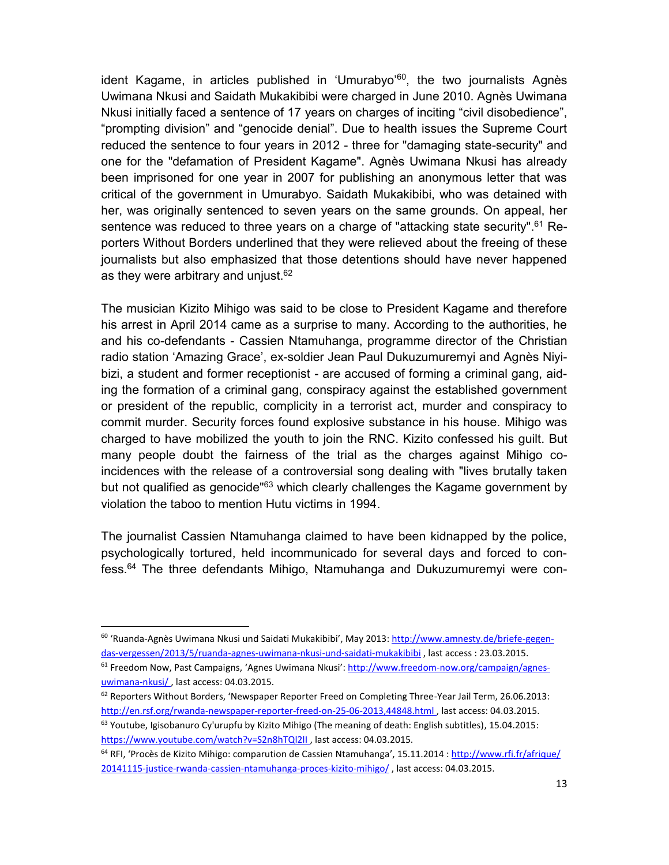ident Kagame, in articles published in 'Umurabyo'<sup>60</sup>, the two journalists Agnès Uwimana Nkusi and Saidath Mukakibibi were charged in June 2010. Agnès Uwimana Nkusi initially faced a sentence of 17 years on charges of inciting "civil disobedience", "prompting division" and "genocide denial". Due to health issues the Supreme Court reduced the sentence to four years in 2012 - three for "damaging state-security" and one for the "defamation of President Kagame". Agnès Uwimana Nkusi has already been imprisoned for one year in 2007 for publishing an anonymous letter that was critical of the government in Umurabyo. Saidath Mukakibibi, who was detained with her, was originally sentenced to seven years on the same grounds. On appeal, her sentence was reduced to three years on a charge of "attacking state security".<sup>61</sup> Reporters Without Borders underlined that they were relieved about the freeing of these journalists but also emphasized that those detentions should have never happened as they were arbitrary and unjust. 62

The musician Kizito Mihigo was said to be close to President Kagame and therefore his arrest in April 2014 came as a surprise to many. According to the authorities, he and his co-defendants - Cassien Ntamuhanga, programme director of the Christian radio station 'Amazing Grace', ex-soldier Jean Paul Dukuzumuremyi and Agnès Niyibizi, a student and former receptionist - are accused of forming a criminal gang, aiding the formation of a criminal gang, conspiracy against the established government or president of the republic, complicity in a terrorist act, murder and conspiracy to commit murder. Security forces found explosive substance in his house. Mihigo was charged to have mobilized the youth to join the RNC. Kizito confessed his guilt. But many people doubt the fairness of the trial as the charges against Mihigo coincidences with the release of a controversial song dealing with "lives brutally taken but not qualified as genocide<sup>"63</sup> which clearly challenges the Kagame government by violation the taboo to mention Hutu victims in 1994.

The journalist Cassien Ntamuhanga claimed to have been kidnapped by the police, psychologically tortured, held incommunicado for several days and forced to confess.64 The three defendants Mihigo, Ntamuhanga and Dukuzumuremyi were con-

 <sup>60</sup> 'Ruanda-Agnès Uwimana Nkusi und Saidati Mukakibibi', May 2013: http://www.amnesty.de/briefe-gegendas-vergessen/2013/5/ruanda-agnes-uwimana-nkusi-und-saidati-mukakibibi , last access : 23.03.2015.

<sup>&</sup>lt;sup>61</sup> Freedom Now, Past Campaigns, 'Agnes Uwimana Nkusi': http://www.freedom-now.org/campaign/agnesuwimana-nkusi/ , last access: 04.03.2015.

<sup>62</sup> Reporters Without Borders, 'Newspaper Reporter Freed on Completing Three-Year Jail Term, 26.06.2013: http://en.rsf.org/rwanda-newspaper-reporter-freed-on-25-06-2013,44848.html , last access: 04.03.2015.  $63$  Youtube, Igisobanuro Cy'urupfu by Kizito Mihigo (The meaning of death: English subtitles), 15.04.2015: https://www.youtube.com/watch?v=S2n8hTQl2lL, last access: 04.03.2015.

<sup>&</sup>lt;sup>64</sup> RFI, 'Procès de Kizito Mihigo: comparution de Cassien Ntamuhanga', 15.11.2014 : http://www.rfi.fr/afrique/ 20141115-justice-rwanda-cassien-ntamuhanga-proces-kizito-mihigo/ , last access: 04.03.2015.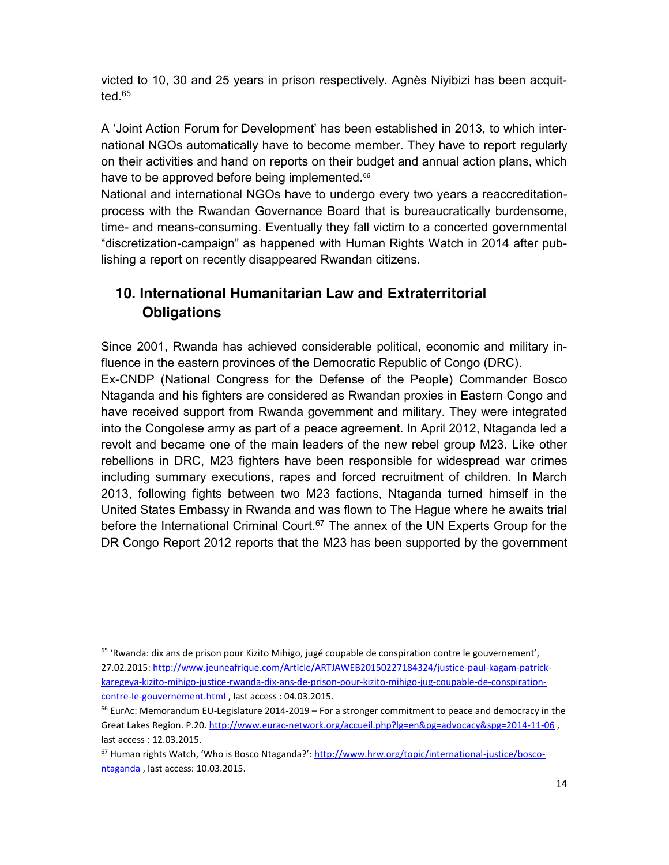victed to 10, 30 and 25 years in prison respectively. Agnès Niyibizi has been acquitted.65

A 'Joint Action Forum for Development' has been established in 2013, to which international NGOs automatically have to become member. They have to report regularly on their activities and hand on reports on their budget and annual action plans, which have to be approved before being implemented.<sup>66</sup>

National and international NGOs have to undergo every two years a reaccreditationprocess with the Rwandan Governance Board that is bureaucratically burdensome, time- and means-consuming. Eventually they fall victim to a concerted governmental "discretization-campaign" as happened with Human Rights Watch in 2014 after publishing a report on recently disappeared Rwandan citizens.

# **10. International Humanitarian Law and Extraterritorial Obligations**

Since 2001, Rwanda has achieved considerable political, economic and military influence in the eastern provinces of the Democratic Republic of Congo (DRC).

Ex-CNDP (National Congress for the Defense of the People) Commander Bosco Ntaganda and his fighters are considered as Rwandan proxies in Eastern Congo and have received support from Rwanda government and military. They were integrated into the Congolese army as part of a peace agreement. In April 2012, Ntaganda led a revolt and became one of the main leaders of the new rebel group M23. Like other rebellions in DRC, M23 fighters have been responsible for widespread war crimes including summary executions, rapes and forced recruitment of children. In March 2013, following fights between two M23 factions, Ntaganda turned himself in the United States Embassy in Rwanda and was flown to The Hague where he awaits trial before the International Criminal Court.<sup>67</sup> The annex of the UN Experts Group for the DR Congo Report 2012 reports that the M23 has been supported by the government

 $65$  'Rwanda: dix ans de prison pour Kizito Mihigo, jugé coupable de conspiration contre le gouvernement', 27.02.2015: http://www.jeuneafrique.com/Article/ARTJAWEB20150227184324/justice-paul-kagam-patrickkaregeya-kizito-mihigo-justice-rwanda-dix-ans-de-prison-pour-kizito-mihigo-jug-coupable-de-conspirationcontre-le-gouvernement.html , last access : 04.03.2015.

<sup>&</sup>lt;sup>66</sup> EurAc: Memorandum EU-Legislature 2014-2019 – For a stronger commitment to peace and democracy in the Great Lakes Region. P.20. http://www.eurac-network.org/accueil.php?lg=en&pg=advocacy&spg=2014-11-06, last access : 12.03.2015.

<sup>&</sup>lt;sup>67</sup> Human rights Watch, 'Who is Bosco Ntaganda?': http://www.hrw.org/topic/international-justice/boscontaganda , last access: 10.03.2015.